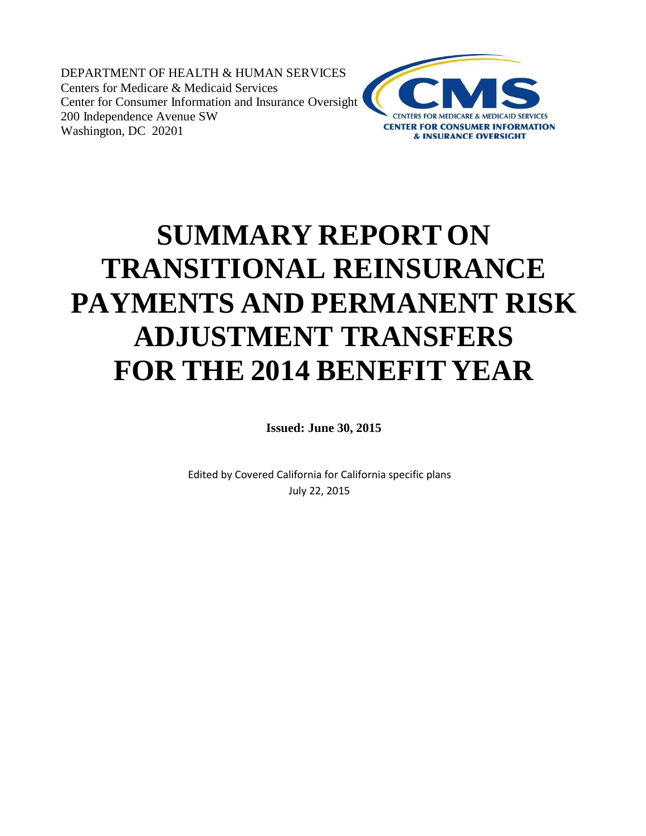DEPARTMENT OF HEALTH & HUMAN SERVICES Centers for Medicare & Medicaid Services Center for Consumer Information and Insurance Oversight 200 Independence Avenue SW Washington, DC 20201



# **SUMMARY REPORT ON TRANSITIONAL REINSURANCE PAYMENTS AND PERMANENT RISK ADJUSTMENT TRANSFERS FOR THE 2014 BENEFIT YEAR**

**Issued: June 30, 2015**

Edited by Covered California for California specific plans July 22, 2015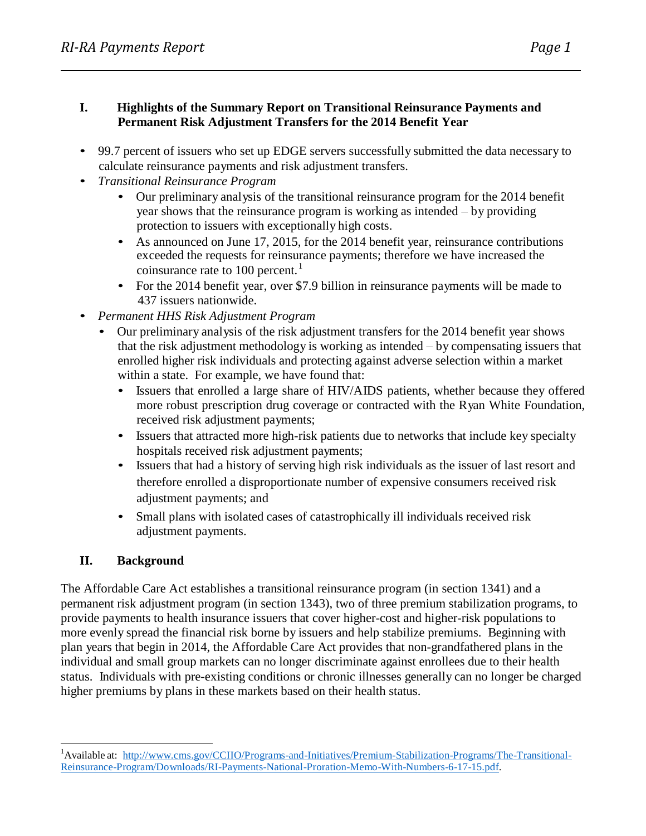#### **I. Highlights of the Summary Report on Transitional Reinsurance Payments and Permanent Risk Adjustment Transfers for the 2014 Benefit Year**

- 99.7 percent of issuers who set up EDGE servers successfully submitted the data necessary to calculate reinsurance payments and risk adjustment transfers.
- *Transitional Reinsurance Program*
	- Our preliminary analysis of the transitional reinsurance program for the 2014 benefit year shows that the reinsurance program is working as intended – by providing protection to issuers with exceptionally high costs.
	- As announced on June 17, 2015, for the 2014 benefit year, reinsurance contributions exceeded the requests for reinsurance payments; therefore we have increased the coinsurance rate to 100 percent.<sup>1</sup>
	- For the 2014 benefit year, over \$7.9 billion in reinsurance payments will be made to 437 issuers nationwide.
- *Permanent HHS Risk Adjustment Program*
	- Our preliminary analysis of the risk adjustment transfers for the 2014 benefit year shows that the risk adjustment methodology is working as intended – by compensating issuers that enrolled higher risk individuals and protecting against adverse selection within a market within a state. For example, we have found that:
		- Issuers that enrolled a large share of HIV/AIDS patients, whether because they offered more robust prescription drug coverage or contracted with the Ryan White Foundation, received risk adjustment payments;
		- Issuers that attracted more high-risk patients due to networks that include key specialty hospitals received risk adjustment payments;
		- Issuers that had a history of serving high risk individuals as the issuer of last resort and therefore enrolled a disproportionate number of expensive consumers received risk adjustment payments; and
		- Small plans with isolated cases of catastrophically ill individuals received risk adjustment payments.

# **II. Background**

The Affordable Care Act establishes a transitional reinsurance program (in section 1341) and a permanent risk adjustment program (in section 1343), two of three premium stabilization programs, to provide payments to health insurance issuers that cover higher-cost and higher-risk populations to more evenly spread the financial risk borne by issuers and help stabilize premiums. Beginning with plan years that begin in 2014, the Affordable Care Act provides that non-grandfathered plans in the individual and small group markets can no longer discriminate against enrollees due to their health status. Individuals with pre-existing conditions or chronic illnesses generally can no longer be charged higher premiums by plans in these markets based on their health status.

<sup>1</sup>Available at: [http://www.cms.gov/CCIIO/Programs-and-Initiatives/Premium-Stabilization-Programs/The-Transitional-](http://www.cms.gov/CCIIO/Programs-and-Initiatives/Premium-Stabilization-Programs/The-Transitional-Reinsurance-Program/Downloads/RI-Payments-National-Proration-Memo-With-Numbers-6-17-15.pdf)[Reinsurance-Program/Downloads/RI-Payments-National-Proration-Memo-With-Numbers-6-17-15.pdf.](http://www.cms.gov/CCIIO/Programs-and-Initiatives/Premium-Stabilization-Programs/The-Transitional-Reinsurance-Program/Downloads/RI-Payments-National-Proration-Memo-With-Numbers-6-17-15.pdf)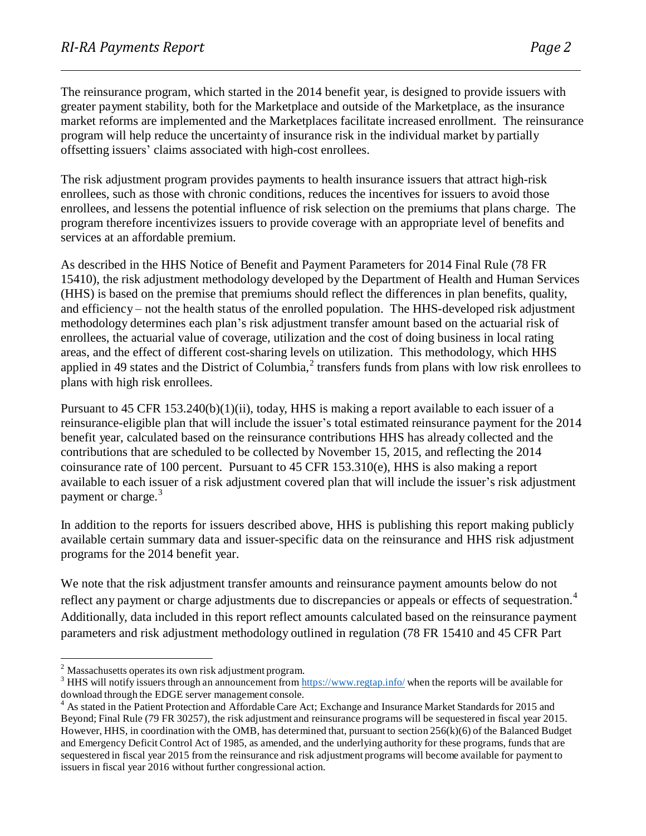The reinsurance program, which started in the 2014 benefit year, is designed to provide issuers with greater payment stability, both for the Marketplace and outside of the Marketplace, as the insurance market reforms are implemented and the Marketplaces facilitate increased enrollment. The reinsurance program will help reduce the uncertainty of insurance risk in the individual market by partially offsetting issuers' claims associated with high-cost enrollees.

The risk adjustment program provides payments to health insurance issuers that attract high-risk enrollees, such as those with chronic conditions, reduces the incentives for issuers to avoid those enrollees, and lessens the potential influence of risk selection on the premiums that plans charge. The program therefore incentivizes issuers to provide coverage with an appropriate level of benefits and services at an affordable premium.

As described in the HHS Notice of Benefit and Payment Parameters for 2014 Final Rule (78 FR 15410), the risk adjustment methodology developed by the Department of Health and Human Services (HHS) is based on the premise that premiums should reflect the differences in plan benefits, quality, and efficiency – not the health status of the enrolled population. The HHS-developed risk adjustment methodology determines each plan's risk adjustment transfer amount based on the actuarial risk of enrollees, the actuarial value of coverage, utilization and the cost of doing business in local rating areas, and the effect of different cost-sharing levels on utilization. This methodology, which HHS applied in 49 states and the District of Columbia, $<sup>2</sup>$  transfers funds from plans with low risk enrollees to</sup> plans with high risk enrollees.

Pursuant to 45 CFR 153.240(b)(1)(ii), today, HHS is making a report available to each issuer of a reinsurance-eligible plan that will include the issuer's total estimated reinsurance payment for the 2014 benefit year, calculated based on the reinsurance contributions HHS has already collected and the contributions that are scheduled to be collected by November 15, 2015, and reflecting the 2014 coinsurance rate of 100 percent. Pursuant to 45 CFR 153.310(e), HHS is also making a report available to each issuer of a risk adjustment covered plan that will include the issuer's risk adjustment payment or charge.<sup>3</sup>

In addition to the reports for issuers described above, HHS is publishing this report making publicly available certain summary data and issuer-specific data on the reinsurance and HHS risk adjustment programs for the 2014 benefit year.

We note that the risk adjustment transfer amounts and reinsurance payment amounts below do not reflect any payment or charge adjustments due to discrepancies or appeals or effects of sequestration.<sup>4</sup> Additionally, data included in this report reflect amounts calculated based on the reinsurance payment parameters and risk adjustment methodology outlined in regulation (78 FR 15410 and 45 CFR Part

<sup>&</sup>lt;sup>2</sup> Massachusetts operates its own risk adjustment program.

 $3$  HHS will notify issuers through an announcement from <https://www.regtap.info/> when the reports will be available for download through the EDGE server management console.

<sup>&</sup>lt;sup>4</sup> As stated in the Patient Protection and Affordable Care Act; Exchange and Insurance Market Standards for 2015 and Beyond; Final Rule (79 FR 30257), the risk adjustment and reinsurance programs will be sequestered in fiscal year 2015. However, HHS, in coordination with the OMB, has determined that, pursuant to section 256(k)(6) of the Balanced Budget and Emergency Deficit Control Act of 1985, as amended, and the underlying authority for these programs, funds that are sequestered in fiscal year 2015 from the reinsurance and risk adjustment programs will become available for payment to issuers in fiscal year 2016 without further congressional action.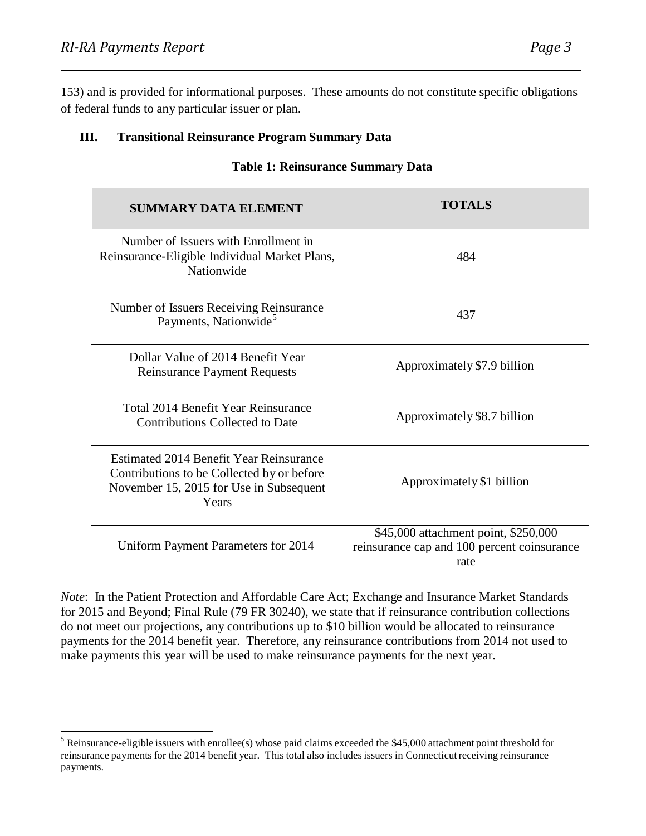153) and is provided for informational purposes. These amounts do not constitute specific obligations of federal funds to any particular issuer or plan.

#### **III. Transitional Reinsurance Program Summary Data**

| <b>SUMMARY DATA ELEMENT</b>                                                                                                               | <b>TOTALS</b>                                                                               |
|-------------------------------------------------------------------------------------------------------------------------------------------|---------------------------------------------------------------------------------------------|
| Number of Issuers with Enrollment in<br>Reinsurance-Eligible Individual Market Plans,<br>Nationwide                                       | 484                                                                                         |
| Number of Issuers Receiving Reinsurance<br>Payments, Nationwide <sup>5</sup>                                                              | 437                                                                                         |
| Dollar Value of 2014 Benefit Year<br><b>Reinsurance Payment Requests</b>                                                                  | Approximately \$7.9 billion                                                                 |
| Total 2014 Benefit Year Reinsurance<br><b>Contributions Collected to Date</b>                                                             | Approximately \$8.7 billion                                                                 |
| Estimated 2014 Benefit Year Reinsurance<br>Contributions to be Collected by or before<br>November 15, 2015 for Use in Subsequent<br>Years | Approximately \$1 billion                                                                   |
| Uniform Payment Parameters for 2014                                                                                                       | \$45,000 attachment point, \$250,000<br>reinsurance cap and 100 percent coinsurance<br>rate |

#### **Table 1: Reinsurance Summary Data**

*Note*: In the Patient Protection and Affordable Care Act; Exchange and Insurance Market Standards for 2015 and Beyond; Final Rule (79 FR 30240), we state that if reinsurance contribution collections do not meet our projections, any contributions up to \$10 billion would be allocated to reinsurance payments for the 2014 benefit year. Therefore, any reinsurance contributions from 2014 not used to make payments this year will be used to make reinsurance payments for the next year.

 $5$  Reinsurance-eligible issuers with enrollee(s) whose paid claims exceeded the \$45,000 attachment point threshold for reinsurance payments for the 2014 benefit year. This total also includesissuers in Connecticutreceiving reinsurance payments.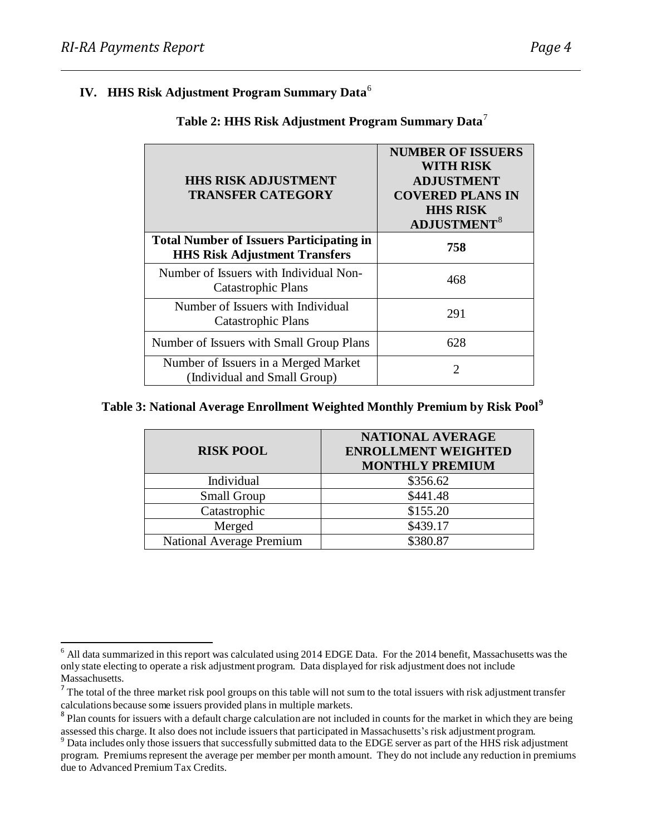#### **IV. HHS Risk Adjustment Program Summary Data** 6

| <b>HHS RISK ADJUSTMENT</b><br><b>TRANSFER CATEGORY</b>                                  | <b>NUMBER OF ISSUERS</b><br>WITH RISK<br><b>ADJUSTMENT</b><br><b>COVERED PLANS IN</b><br><b>HHS RISK</b><br><b>ADJUSTMENT</b> <sup>8</sup> |
|-----------------------------------------------------------------------------------------|--------------------------------------------------------------------------------------------------------------------------------------------|
| <b>Total Number of Issuers Participating in</b><br><b>HHS Risk Adjustment Transfers</b> | 758                                                                                                                                        |
| Number of Issuers with Individual Non-<br><b>Catastrophic Plans</b>                     | 468                                                                                                                                        |
| Number of Issuers with Individual<br>Catastrophic Plans                                 | 291                                                                                                                                        |
| Number of Issuers with Small Group Plans                                                | 628                                                                                                                                        |
| Number of Issuers in a Merged Market<br>(Individual and Small Group)                    | 2                                                                                                                                          |

### **Table 2: HHS Risk Adjustment Program Summary Data** 7

#### **Table 3: National Average Enrollment Weighted Monthly Premium by Risk Pool 9**

| <b>RISK POOL</b>                | NATIONAL AVERAGE<br><b>ENROLLMENT WEIGHTED</b><br><b>MONTHLY PREMIUM</b> |
|---------------------------------|--------------------------------------------------------------------------|
| Individual                      | \$356.62                                                                 |
| <b>Small Group</b>              | \$441.48                                                                 |
| Catastrophic                    | \$155.20                                                                 |
| Merged                          | \$439.17                                                                 |
| <b>National Average Premium</b> | \$380.87                                                                 |

 $<sup>6</sup>$  All data summarized in this report was calculated using 2014 EDGE Data. For the 2014 benefit, Massachusetts was the</sup> only state electing to operate a risk adjustment program. Data displayed for risk adjustment does not include Massachusetts.

 $<sup>7</sup>$  The total of the three market risk pool groups on this table will not sum to the total issuers with risk adjustment transfer</sup> calculations because some issuers provided plans in multiple markets.

<sup>&</sup>lt;sup>8</sup> Plan counts for issuers with a default charge calculation are not included in counts for the market in which they are being assessed this charge. It also does not include issuers that participated in Massachusetts's risk adjustment program.

<sup>&</sup>lt;sup>9</sup> Data includes only those issuers that successfully submitted data to the EDGE server as part of the HHS risk adjustment program. Premiums represent the average per member per month amount. They do not include any reduction in premiums due to Advanced PremiumTax Credits.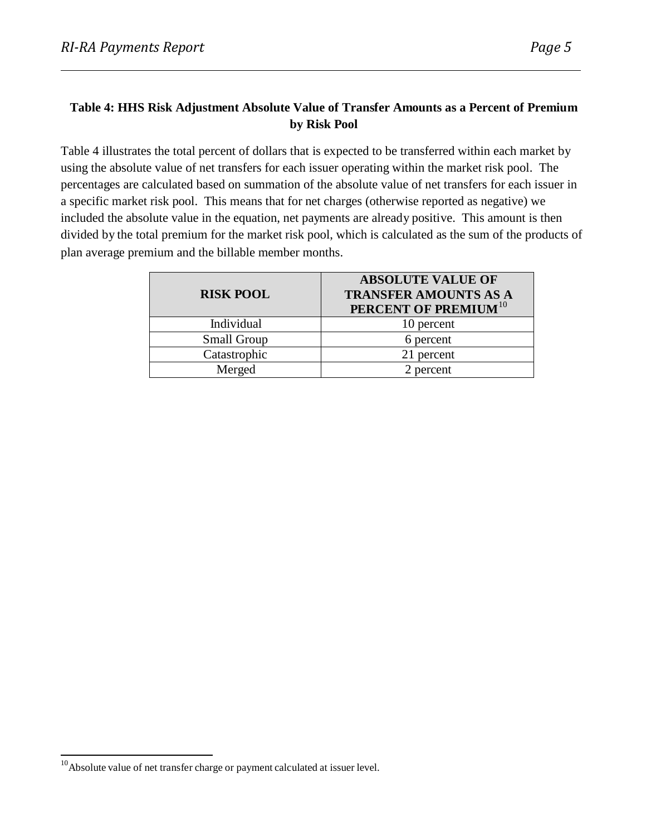#### **Table 4: HHS Risk Adjustment Absolute Value of Transfer Amounts as a Percent of Premium by Risk Pool**

Table 4 illustrates the total percent of dollars that is expected to be transferred within each market by using the absolute value of net transfers for each issuer operating within the market risk pool. The percentages are calculated based on summation of the absolute value of net transfers for each issuer in a specific market risk pool. This means that for net charges (otherwise reported as negative) we included the absolute value in the equation, net payments are already positive. This amount is then divided by the total premium for the market risk pool, which is calculated as the sum of the products of plan average premium and the billable member months.

| <b>RISK POOL</b>   | <b>ABSOLUTE VALUE OF</b><br><b>TRANSFER AMOUNTS AS A</b><br>PERCENT OF PREMIUM <sup>10</sup> |
|--------------------|----------------------------------------------------------------------------------------------|
| Individual         | 10 percent                                                                                   |
| <b>Small Group</b> | 6 percent                                                                                    |
| Catastrophic       | 21 percent                                                                                   |
| Merged             | 2 percent                                                                                    |

<sup>&</sup>lt;sup>10</sup>Absolute value of net transfer charge or payment calculated at issuer level.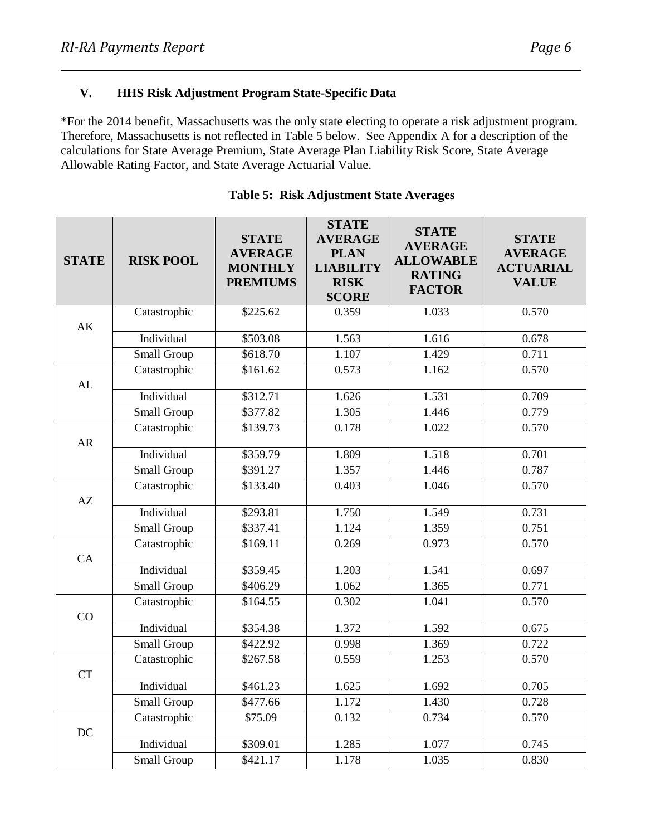\*For the 2014 benefit, Massachusetts was the only state electing to operate a risk adjustment program. Therefore, Massachusetts is not reflected in Table 5 below. See Appendix A for a description of the calculations for State Average Premium, State Average Plan Liability Risk Score, State Average Allowable Rating Factor, and State Average Actuarial Value.

| <b>STATE</b> | <b>RISK POOL</b> | <b>STATE</b><br><b>AVERAGE</b><br><b>MONTHLY</b><br><b>PREMIUMS</b> | <b>STATE</b><br><b>AVERAGE</b><br><b>PLAN</b><br><b>LIABILITY</b><br><b>RISK</b><br><b>SCORE</b> | <b>STATE</b><br><b>AVERAGE</b><br><b>ALLOWABLE</b><br><b>RATING</b><br><b>FACTOR</b> | <b>STATE</b><br><b>AVERAGE</b><br><b>ACTUARIAL</b><br><b>VALUE</b> |
|--------------|------------------|---------------------------------------------------------------------|--------------------------------------------------------------------------------------------------|--------------------------------------------------------------------------------------|--------------------------------------------------------------------|
|              | Catastrophic     | \$225.62                                                            | 0.359                                                                                            | 1.033                                                                                | 0.570                                                              |
| AK           | Individual       | \$503.08                                                            | 1.563                                                                                            | 1.616                                                                                | 0.678                                                              |
|              | Small Group      | \$618.70                                                            | 1.107                                                                                            | 1.429                                                                                | 0.711                                                              |
|              | Catastrophic     | \$161.62                                                            | 0.573                                                                                            | 1.162                                                                                | 0.570                                                              |
| AL           |                  |                                                                     |                                                                                                  |                                                                                      |                                                                    |
|              | Individual       | \$312.71                                                            | 1.626                                                                                            | 1.531                                                                                | 0.709                                                              |
|              | Small Group      | \$377.82                                                            | 1.305                                                                                            | 1.446                                                                                | 0.779                                                              |
|              | Catastrophic     | \$139.73                                                            | 0.178                                                                                            | 1.022                                                                                | 0.570                                                              |
| AR           |                  |                                                                     |                                                                                                  |                                                                                      |                                                                    |
|              | Individual       | \$359.79                                                            | 1.809                                                                                            | 1.518                                                                                | 0.701                                                              |
|              | Small Group      | \$391.27                                                            | 1.357                                                                                            | 1.446                                                                                | 0.787                                                              |
| AZ           | Catastrophic     | \$133.40                                                            | 0.403                                                                                            | 1.046                                                                                | 0.570                                                              |
|              | Individual       | \$293.81                                                            | 1.750                                                                                            | 1.549                                                                                | 0.731                                                              |
|              | Small Group      | \$337.41                                                            | 1.124                                                                                            | 1.359                                                                                | 0.751                                                              |
|              | Catastrophic     | \$169.11                                                            | 0.269                                                                                            | 0.973                                                                                | 0.570                                                              |
| CA           |                  |                                                                     |                                                                                                  |                                                                                      |                                                                    |
|              | Individual       | \$359.45                                                            | 1.203                                                                                            | 1.541                                                                                | 0.697                                                              |
|              | Small Group      | \$406.29                                                            | 1.062                                                                                            | 1.365                                                                                | 0.771                                                              |
|              | Catastrophic     | \$164.55                                                            | 0.302                                                                                            | 1.041                                                                                | 0.570                                                              |
| CO           | Individual       | \$354.38                                                            | 1.372                                                                                            | 1.592                                                                                | 0.675                                                              |
|              | Small Group      | \$422.92                                                            | 0.998                                                                                            | 1.369                                                                                | 0.722                                                              |
|              | Catastrophic     | \$267.58                                                            | 0.559                                                                                            | 1.253                                                                                | 0.570                                                              |
| <b>CT</b>    |                  |                                                                     |                                                                                                  |                                                                                      |                                                                    |
|              | Individual       | \$461.23                                                            | 1.625                                                                                            | 1.692                                                                                | 0.705                                                              |
|              | Small Group      | \$477.66                                                            | 1.172                                                                                            | 1.430                                                                                | 0.728                                                              |
|              | Catastrophic     | \$75.09                                                             | 0.132                                                                                            | 0.734                                                                                | 0.570                                                              |
| DC           |                  |                                                                     |                                                                                                  |                                                                                      |                                                                    |
|              | Individual       | \$309.01                                                            | 1.285                                                                                            | 1.077                                                                                | 0.745                                                              |
|              | Small Group      | \$421.17                                                            | 1.178                                                                                            | 1.035                                                                                | 0.830                                                              |

#### **Table 5: Risk Adjustment State Averages**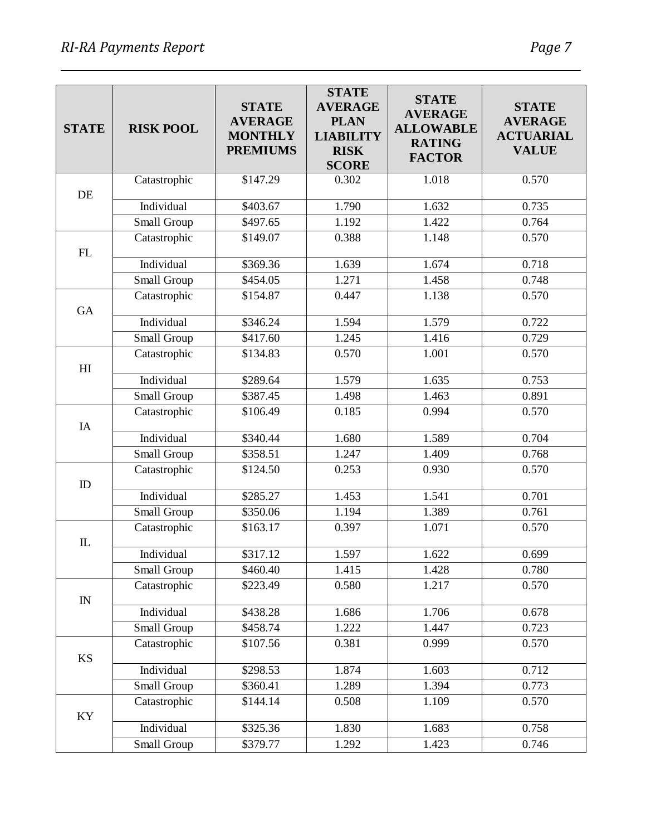| <b>STATE</b>   | <b>RISK POOL</b> | <b>STATE</b><br><b>AVERAGE</b><br><b>MONTHLY</b> | <b>STATE</b><br><b>AVERAGE</b><br><b>PLAN</b><br><b>LIABILITY</b> | <b>STATE</b><br><b>AVERAGE</b><br><b>ALLOWABLE</b> | <b>STATE</b><br><b>AVERAGE</b><br><b>ACTUARIAL</b> |
|----------------|------------------|--------------------------------------------------|-------------------------------------------------------------------|----------------------------------------------------|----------------------------------------------------|
|                |                  | <b>PREMIUMS</b>                                  | <b>RISK</b><br><b>SCORE</b>                                       | <b>RATING</b><br><b>FACTOR</b>                     | <b>VALUE</b>                                       |
| DE             | Catastrophic     | \$147.29                                         | 0.302                                                             | 1.018                                              | 0.570                                              |
|                | Individual       | \$403.67                                         | 1.790                                                             | 1.632                                              | 0.735                                              |
|                | Small Group      | \$497.65                                         | 1.192                                                             | 1.422                                              | 0.764                                              |
| ${\rm FL}$     | Catastrophic     | \$149.07                                         | 0.388                                                             | 1.148                                              | 0.570                                              |
|                | Individual       | \$369.36                                         | 1.639                                                             | 1.674                                              | 0.718                                              |
|                | Small Group      | \$454.05                                         | 1.271                                                             | 1.458                                              | 0.748                                              |
| <b>GA</b>      | Catastrophic     | \$154.87                                         | 0.447                                                             | 1.138                                              | 0.570                                              |
|                | Individual       | \$346.24                                         | 1.594                                                             | 1.579                                              | 0.722                                              |
|                | Small Group      | \$417.60                                         | 1.245                                                             | 1.416                                              | 0.729                                              |
| H <sub>I</sub> | Catastrophic     | \$134.83                                         | 0.570                                                             | 1.001                                              | 0.570                                              |
|                | Individual       | \$289.64                                         | 1.579                                                             | 1.635                                              | 0.753                                              |
|                | Small Group      | \$387.45                                         | 1.498                                                             | 1.463                                              | 0.891                                              |
| IA             | Catastrophic     | \$106.49                                         | 0.185                                                             | 0.994                                              | 0.570                                              |
|                | Individual       | \$340.44                                         | 1.680                                                             | 1.589                                              | 0.704                                              |
|                | Small Group      | \$358.51                                         | 1.247                                                             | 1.409                                              | 0.768                                              |
| ID             | Catastrophic     | \$124.50                                         | 0.253                                                             | 0.930                                              | 0.570                                              |
|                | Individual       | \$285.27                                         | 1.453                                                             | 1.541                                              | 0.701                                              |
|                | Small Group      | \$350.06                                         | 1.194                                                             | 1.389                                              | 0.761                                              |
| $\mathbb{L}$   | Catastrophic     | \$163.17                                         | 0.397                                                             | 1.071                                              | 0.570                                              |
|                | Individual       | \$317.12                                         | 1.597                                                             | 1.622                                              | 0.699                                              |
|                | Small Group      | \$460.40                                         | 1.415                                                             | 1.428                                              | 0.780                                              |
| ${\rm IN}$     | Catastrophic     | \$223.49                                         | 0.580                                                             | 1.217                                              | 0.570                                              |
|                | Individual       | \$438.28                                         | 1.686                                                             | 1.706                                              | 0.678                                              |
|                | Small Group      | \$458.74                                         | 1.222                                                             | 1.447                                              | 0.723                                              |
| KS             | Catastrophic     | \$107.56                                         | 0.381                                                             | 0.999                                              | 0.570                                              |
|                | Individual       | \$298.53                                         | 1.874                                                             | 1.603                                              | 0.712                                              |
|                | Small Group      | \$360.41                                         | 1.289                                                             | 1.394                                              | 0.773                                              |
| KY             | Catastrophic     | \$144.14                                         | 0.508                                                             | 1.109                                              | 0.570                                              |
|                | Individual       | \$325.36                                         | 1.830                                                             | 1.683                                              | 0.758                                              |
|                | Small Group      | \$379.77                                         | 1.292                                                             | 1.423                                              | 0.746                                              |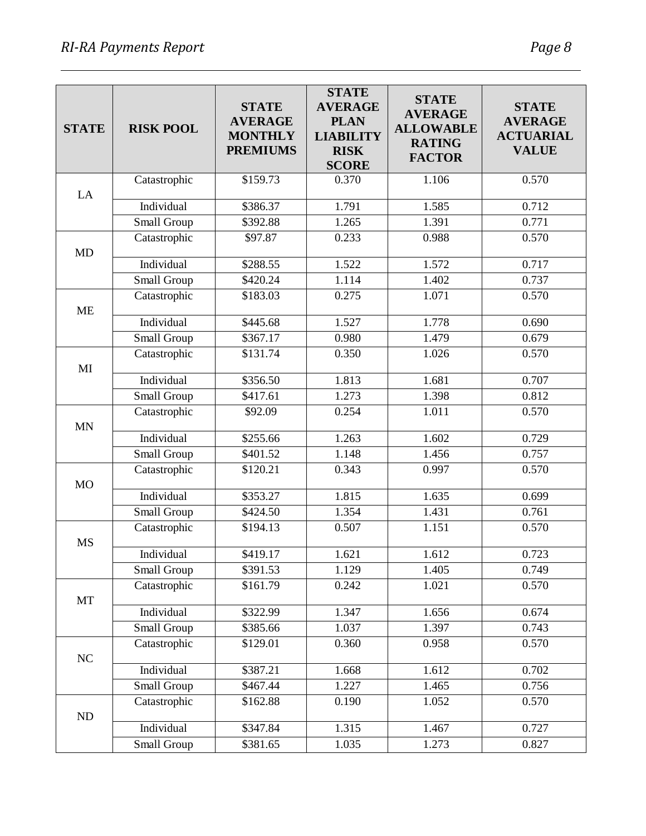| <b>STATE</b> | <b>RISK POOL</b>   | <b>STATE</b><br><b>AVERAGE</b><br><b>MONTHLY</b><br><b>PREMIUMS</b> | <b>STATE</b><br><b>AVERAGE</b><br><b>PLAN</b><br><b>LIABILITY</b><br><b>RISK</b><br><b>SCORE</b> | <b>STATE</b><br><b>AVERAGE</b><br><b>ALLOWABLE</b><br><b>RATING</b><br><b>FACTOR</b> | <b>STATE</b><br><b>AVERAGE</b><br><b>ACTUARIAL</b><br><b>VALUE</b> |
|--------------|--------------------|---------------------------------------------------------------------|--------------------------------------------------------------------------------------------------|--------------------------------------------------------------------------------------|--------------------------------------------------------------------|
|              | Catastrophic       | \$159.73                                                            | 0.370                                                                                            | 1.106                                                                                | 0.570                                                              |
| LA           | Individual         | \$386.37                                                            | 1.791                                                                                            | 1.585                                                                                | 0.712                                                              |
|              | Small Group        | \$392.88                                                            | 1.265                                                                                            | 1.391                                                                                | 0.771                                                              |
|              | Catastrophic       | \$97.87                                                             | 0.233                                                                                            | 0.988                                                                                | 0.570                                                              |
| <b>MD</b>    |                    |                                                                     |                                                                                                  |                                                                                      |                                                                    |
|              | Individual         | \$288.55                                                            | 1.522                                                                                            | 1.572                                                                                | 0.717                                                              |
|              | Small Group        | \$420.24                                                            | 1.114                                                                                            | 1.402                                                                                | 0.737                                                              |
| <b>ME</b>    | Catastrophic       | \$183.03                                                            | 0.275                                                                                            | 1.071                                                                                | 0.570                                                              |
|              | Individual         | \$445.68                                                            | 1.527                                                                                            | 1.778                                                                                | 0.690                                                              |
|              | Small Group        | \$367.17                                                            | 0.980                                                                                            | 1.479                                                                                | 0.679                                                              |
|              | Catastrophic       | \$131.74                                                            | 0.350                                                                                            | 1.026                                                                                | 0.570                                                              |
| MI           | Individual         | \$356.50                                                            | 1.813                                                                                            | 1.681                                                                                | 0.707                                                              |
|              | Small Group        | \$417.61                                                            | 1.273                                                                                            | $\overline{1.398}$                                                                   | 0.812                                                              |
|              | Catastrophic       | \$92.09                                                             | 0.254                                                                                            | 1.011                                                                                | 0.570                                                              |
| <b>MN</b>    |                    |                                                                     |                                                                                                  |                                                                                      |                                                                    |
|              | Individual         | \$255.66                                                            | 1.263                                                                                            | 1.602                                                                                | 0.729                                                              |
|              | Small Group        | \$401.52                                                            | 1.148                                                                                            | 1.456                                                                                | 0.757                                                              |
| <b>MO</b>    | Catastrophic       | \$120.21                                                            | 0.343                                                                                            | 0.997                                                                                | 0.570                                                              |
|              | Individual         | \$353.27                                                            | 1.815                                                                                            | 1.635                                                                                | 0.699                                                              |
|              | Small Group        | \$424.50                                                            | 1.354                                                                                            | 1.431                                                                                | 0.761                                                              |
| <b>MS</b>    | Catastrophic       | \$194.13                                                            | 0.507                                                                                            | 1.151                                                                                | 0.570                                                              |
|              | Individual         | \$419.17                                                            | 1.621                                                                                            | 1.612                                                                                | 0.723                                                              |
|              | Small Group        | \$391.53                                                            | 1.129                                                                                            | 1.405                                                                                | 0.749                                                              |
| MT           | Catastrophic       | \$161.79                                                            | 0.242                                                                                            | 1.021                                                                                | 0.570                                                              |
|              | Individual         | \$322.99                                                            | 1.347                                                                                            | 1.656                                                                                | 0.674                                                              |
|              | <b>Small Group</b> | \$385.66                                                            | 1.037                                                                                            | 1.397                                                                                | 0.743                                                              |
| NC           | Catastrophic       | \$129.01                                                            | 0.360                                                                                            | 0.958                                                                                | 0.570                                                              |
|              | Individual         | \$387.21                                                            | 1.668                                                                                            | 1.612                                                                                | 0.702                                                              |
|              | Small Group        | \$467.44                                                            | 1.227                                                                                            | 1.465                                                                                | 0.756                                                              |
| ND           | Catastrophic       | \$162.88                                                            | 0.190                                                                                            | 1.052                                                                                | 0.570                                                              |
|              | Individual         | \$347.84                                                            | 1.315                                                                                            | 1.467                                                                                | 0.727                                                              |
|              | Small Group        | \$381.65                                                            | 1.035                                                                                            | 1.273                                                                                | 0.827                                                              |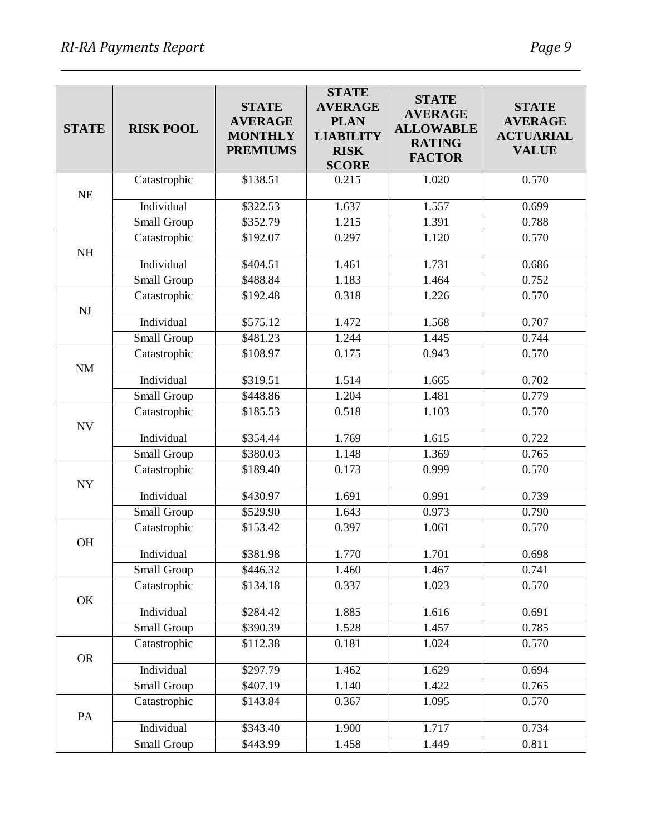| <b>STATE</b> | <b>RISK POOL</b> | <b>STATE</b><br><b>AVERAGE</b><br><b>MONTHLY</b><br><b>PREMIUMS</b> | <b>STATE</b><br><b>AVERAGE</b><br><b>PLAN</b><br><b>LIABILITY</b><br><b>RISK</b><br><b>SCORE</b> | <b>STATE</b><br><b>AVERAGE</b><br><b>ALLOWABLE</b><br><b>RATING</b><br><b>FACTOR</b> | <b>STATE</b><br><b>AVERAGE</b><br><b>ACTUARIAL</b><br><b>VALUE</b> |
|--------------|------------------|---------------------------------------------------------------------|--------------------------------------------------------------------------------------------------|--------------------------------------------------------------------------------------|--------------------------------------------------------------------|
|              | Catastrophic     | \$138.51                                                            | 0.215                                                                                            | 1.020                                                                                | 0.570                                                              |
| <b>NE</b>    | Individual       |                                                                     | 1.637                                                                                            | 1.557                                                                                | 0.699                                                              |
|              |                  | \$322.53<br>$\overline{$}352.79$                                    | 1.215                                                                                            | 1.391                                                                                | 0.788                                                              |
|              | Small Group      |                                                                     |                                                                                                  |                                                                                      |                                                                    |
| NH           | Catastrophic     | \$192.07                                                            | 0.297                                                                                            | 1.120                                                                                | 0.570                                                              |
|              | Individual       | \$404.51                                                            | 1.461                                                                                            | 1.731                                                                                | 0.686                                                              |
|              | Small Group      | \$488.84                                                            | 1.183                                                                                            | 1.464                                                                                | 0.752                                                              |
|              | Catastrophic     | \$192.48                                                            | 0.318                                                                                            | 1.226                                                                                | 0.570                                                              |
| NJ           |                  |                                                                     |                                                                                                  |                                                                                      |                                                                    |
|              | Individual       | \$575.12                                                            | 1.472                                                                                            | 1.568                                                                                | 0.707                                                              |
|              | Small Group      | \$481.23                                                            | 1.244                                                                                            | 1.445                                                                                | 0.744                                                              |
|              | Catastrophic     | \$108.97                                                            | 0.175                                                                                            | 0.943                                                                                | 0.570                                                              |
| $\rm{NM}$    |                  |                                                                     |                                                                                                  |                                                                                      |                                                                    |
|              | Individual       | \$319.51                                                            | 1.514                                                                                            | 1.665                                                                                | 0.702                                                              |
|              | Small Group      | \$448.86                                                            | 1.204                                                                                            | 1.481                                                                                | 0.779                                                              |
|              | Catastrophic     | \$185.53                                                            | 0.518                                                                                            | 1.103                                                                                | 0.570                                                              |
| <b>NV</b>    | Individual       | \$354.44                                                            | 1.769                                                                                            | 1.615                                                                                | 0.722                                                              |
|              | Small Group      | \$380.03                                                            | 1.148                                                                                            | 1.369                                                                                | 0.765                                                              |
|              | Catastrophic     | \$189.40                                                            | 0.173                                                                                            | 0.999                                                                                | 0.570                                                              |
| NY           |                  |                                                                     |                                                                                                  |                                                                                      |                                                                    |
|              | Individual       | \$430.97                                                            | 1.691                                                                                            | 0.991                                                                                | 0.739                                                              |
|              | Small Group      | \$529.90                                                            | 1.643                                                                                            | 0.973                                                                                | 0.790                                                              |
|              | Catastrophic     | \$153.42                                                            | 0.397                                                                                            | 1.061                                                                                | 0.570                                                              |
| OH           |                  |                                                                     |                                                                                                  |                                                                                      |                                                                    |
|              | Individual       | \$381.98                                                            | 1.770                                                                                            | 1.701                                                                                | 0.698                                                              |
|              | Small Group      | \$446.32                                                            | 1.460                                                                                            | 1.467                                                                                | 0.741                                                              |
|              | Catastrophic     | \$134.18                                                            | 0.337                                                                                            | 1.023                                                                                | 0.570                                                              |
| OK           |                  |                                                                     |                                                                                                  |                                                                                      |                                                                    |
|              | Individual       | \$284.42                                                            | 1.885                                                                                            | 1.616                                                                                | 0.691                                                              |
|              | Small Group      | \$390.39                                                            | 1.528                                                                                            | 1.457                                                                                | 0.785                                                              |
|              | Catastrophic     | \$112.38                                                            | 0.181                                                                                            | 1.024                                                                                | 0.570                                                              |
| <b>OR</b>    | Individual       | \$297.79                                                            | 1.462                                                                                            | 1.629                                                                                | 0.694                                                              |
|              | Small Group      | \$407.19                                                            | 1.140                                                                                            | 1.422                                                                                | 0.765                                                              |
|              | Catastrophic     | \$143.84                                                            | 0.367                                                                                            | 1.095                                                                                | 0.570                                                              |
| PA           |                  |                                                                     |                                                                                                  |                                                                                      |                                                                    |
|              | Individual       | \$343.40                                                            | 1.900                                                                                            | 1.717                                                                                | 0.734                                                              |
|              | Small Group      | \$443.99                                                            | 1.458                                                                                            | 1.449                                                                                | 0.811                                                              |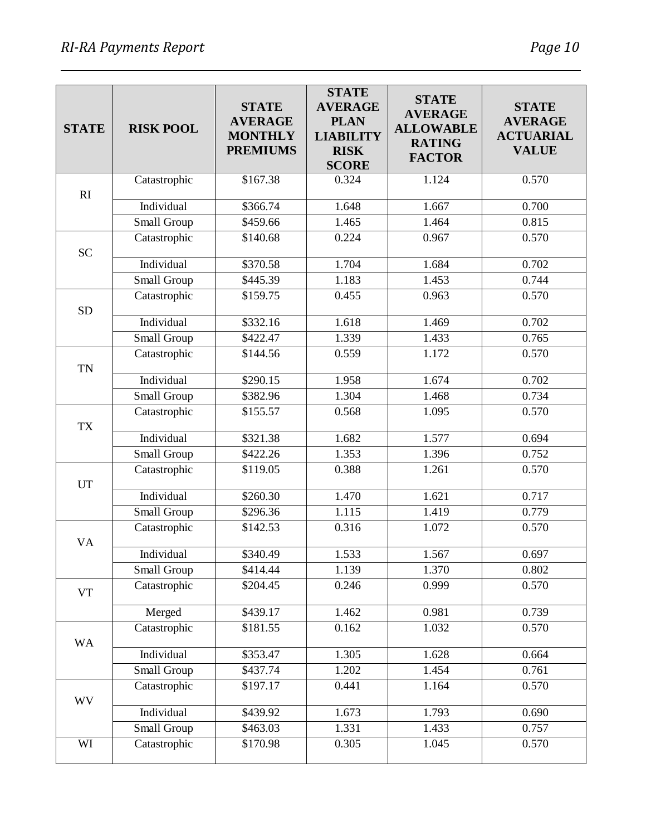| <b>STATE</b> | <b>RISK POOL</b> | <b>STATE</b><br><b>AVERAGE</b><br><b>MONTHLY</b><br><b>PREMIUMS</b> | <b>STATE</b><br><b>AVERAGE</b><br><b>PLAN</b><br><b>LIABILITY</b><br><b>RISK</b><br><b>SCORE</b> | <b>STATE</b><br><b>AVERAGE</b><br><b>ALLOWABLE</b><br><b>RATING</b><br><b>FACTOR</b> | <b>STATE</b><br><b>AVERAGE</b><br><b>ACTUARIAL</b><br><b>VALUE</b> |
|--------------|------------------|---------------------------------------------------------------------|--------------------------------------------------------------------------------------------------|--------------------------------------------------------------------------------------|--------------------------------------------------------------------|
|              | Catastrophic     | \$167.38                                                            | 0.324                                                                                            | 1.124                                                                                | 0.570                                                              |
| RI           | Individual       | \$366.74                                                            | 1.648                                                                                            | 1.667                                                                                | 0.700                                                              |
|              | Small Group      | \$459.66                                                            | 1.465                                                                                            | 1.464                                                                                | 0.815                                                              |
|              | Catastrophic     | \$140.68                                                            | 0.224                                                                                            | 0.967                                                                                | 0.570                                                              |
| <b>SC</b>    |                  |                                                                     |                                                                                                  |                                                                                      |                                                                    |
|              | Individual       | \$370.58                                                            | 1.704                                                                                            | 1.684                                                                                | 0.702                                                              |
|              | Small Group      | \$445.39                                                            | 1.183                                                                                            | 1.453                                                                                | 0.744                                                              |
|              | Catastrophic     | \$159.75                                                            | 0.455                                                                                            | 0.963                                                                                | 0.570                                                              |
| <b>SD</b>    | Individual       | $\overline{$}332.16$                                                | 1.618                                                                                            | 1.469                                                                                | 0.702                                                              |
|              | Small Group      | \$422.47                                                            | 1.339                                                                                            | 1.433                                                                                | 0.765                                                              |
|              | Catastrophic     | \$144.56                                                            | 0.559                                                                                            | 1.172                                                                                | 0.570                                                              |
| <b>TN</b>    | Individual       | \$290.15                                                            | 1.958                                                                                            | 1.674                                                                                | 0.702                                                              |
|              | Small Group      | \$382.96                                                            | 1.304                                                                                            | 1.468                                                                                | 0.734                                                              |
| <b>TX</b>    | Catastrophic     | \$155.57                                                            | 0.568                                                                                            | 1.095                                                                                | 0.570                                                              |
|              | Individual       | \$321.38                                                            | 1.682                                                                                            | 1.577                                                                                | 0.694                                                              |
|              | Small Group      | \$422.26                                                            | 1.353                                                                                            | 1.396                                                                                | 0.752                                                              |
| <b>UT</b>    | Catastrophic     | \$119.05                                                            | 0.388                                                                                            | 1.261                                                                                | 0.570                                                              |
|              | Individual       | \$260.30                                                            | 1.470                                                                                            | 1.621                                                                                | 0.717                                                              |
|              | Small Group      | \$296.36                                                            | 1.115                                                                                            | 1.419                                                                                | 0.779                                                              |
| <b>VA</b>    | Catastrophic     | \$142.53                                                            | 0.316                                                                                            | 1.072                                                                                | 0.570                                                              |
|              | Individual       | \$340.49                                                            | 1.533                                                                                            | 1.567                                                                                | 0.697                                                              |
|              | Small Group      | \$414.44                                                            | 1.139                                                                                            | 1.370                                                                                | 0.802                                                              |
| <b>VT</b>    | Catastrophic     | \$204.45                                                            | 0.246                                                                                            | 0.999                                                                                | 0.570                                                              |
|              | Merged           | \$439.17                                                            | 1.462                                                                                            | 0.981                                                                                | 0.739                                                              |
| <b>WA</b>    | Catastrophic     | \$181.55                                                            | 0.162                                                                                            | 1.032                                                                                | 0.570                                                              |
|              | Individual       | \$353.47                                                            | 1.305                                                                                            | 1.628                                                                                | 0.664                                                              |
|              | Small Group      | \$437.74                                                            | 1.202                                                                                            | 1.454                                                                                | 0.761                                                              |
| WV           | Catastrophic     | \$197.17                                                            | 0.441                                                                                            | 1.164                                                                                | 0.570                                                              |
|              | Individual       | \$439.92                                                            | 1.673                                                                                            | 1.793                                                                                | 0.690                                                              |
|              | Small Group      | \$463.03                                                            | 1.331                                                                                            | 1.433                                                                                | 0.757                                                              |
| WI           | Catastrophic     | \$170.98                                                            | 0.305                                                                                            | 1.045                                                                                | 0.570                                                              |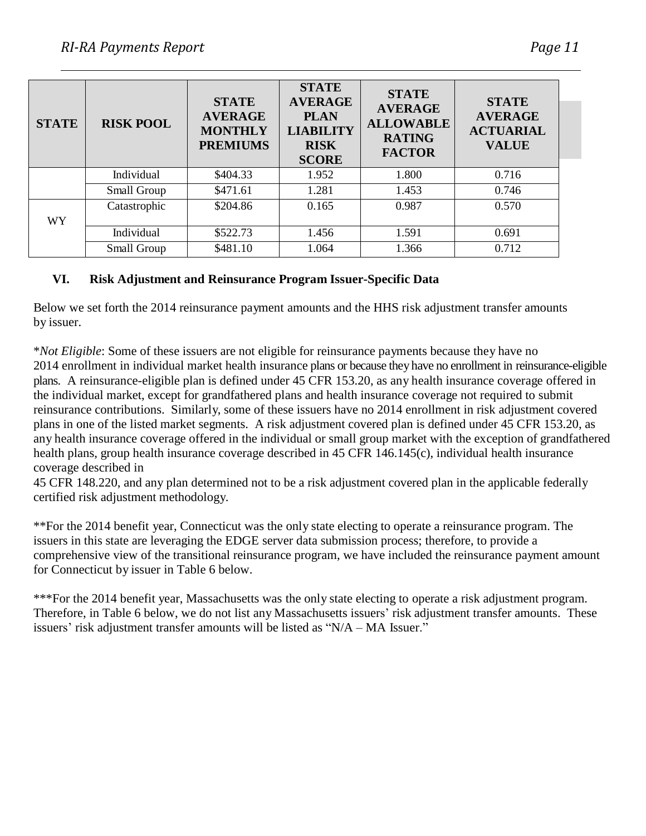| <b>STATE</b> | <b>RISK POOL</b> | <b>STATE</b><br><b>AVERAGE</b><br><b>MONTHLY</b><br><b>PREMIUMS</b> | <b>STATE</b><br><b>AVERAGE</b><br><b>PLAN</b><br><b>LIABILITY</b><br><b>RISK</b><br><b>SCORE</b> | <b>STATE</b><br><b>AVERAGE</b><br><b>ALLOWABLE</b><br><b>RATING</b><br><b>FACTOR</b> | <b>STATE</b><br><b>AVERAGE</b><br><b>ACTUARIAL</b><br><b>VALUE</b> |
|--------------|------------------|---------------------------------------------------------------------|--------------------------------------------------------------------------------------------------|--------------------------------------------------------------------------------------|--------------------------------------------------------------------|
|              | Individual       | \$404.33                                                            | 1.952                                                                                            | 1.800                                                                                | 0.716                                                              |
|              | Small Group      | \$471.61                                                            | 1.281                                                                                            | 1.453                                                                                | 0.746                                                              |
|              | Catastrophic     | \$204.86                                                            | 0.165                                                                                            | 0.987                                                                                | 0.570                                                              |
| <b>WY</b>    |                  |                                                                     |                                                                                                  |                                                                                      |                                                                    |
|              | Individual       | \$522.73                                                            | 1.456                                                                                            | 1.591                                                                                | 0.691                                                              |
|              | Small Group      | \$481.10                                                            | 1.064                                                                                            | 1.366                                                                                | 0.712                                                              |

#### **VI. Risk Adjustment and Reinsurance Program Issuer-Specific Data**

Below we set forth the 2014 reinsurance payment amounts and the HHS risk adjustment transfer amounts by issuer.

\**Not Eligible*: Some of these issuers are not eligible for reinsurance payments because they have no 2014 enrollment in individual market health insurance plans or because theyhave no enrollment in reinsurance-eligible plans. A reinsurance-eligible plan is defined under 45 CFR 153.20, as any health insurance coverage offered in the individual market, except for grandfathered plans and health insurance coverage not required to submit reinsurance contributions. Similarly, some of these issuers have no 2014 enrollment in risk adjustment covered plans in one of the listed market segments. A risk adjustment covered plan is defined under 45 CFR 153.20, as any health insurance coverage offered in the individual or small group market with the exception of grandfathered health plans, group health insurance coverage described in 45 CFR 146.145(c), individual health insurance coverage described in

45 CFR 148.220, and any plan determined not to be a risk adjustment covered plan in the applicable federally certified risk adjustment methodology.

\*\*For the 2014 benefit year, Connecticut was the only state electing to operate a reinsurance program. The issuers in this state are leveraging the EDGE server data submission process; therefore, to provide a comprehensive view of the transitional reinsurance program, we have included the reinsurance payment amount for Connecticut by issuer in Table 6 below.

\*\*\*For the 2014 benefit year, Massachusetts was the only state electing to operate a risk adjustment program. Therefore, in Table 6 below, we do not list any Massachusetts issuers' risk adjustment transfer amounts. These issuers' risk adjustment transfer amounts will be listed as "N/A – MA Issuer."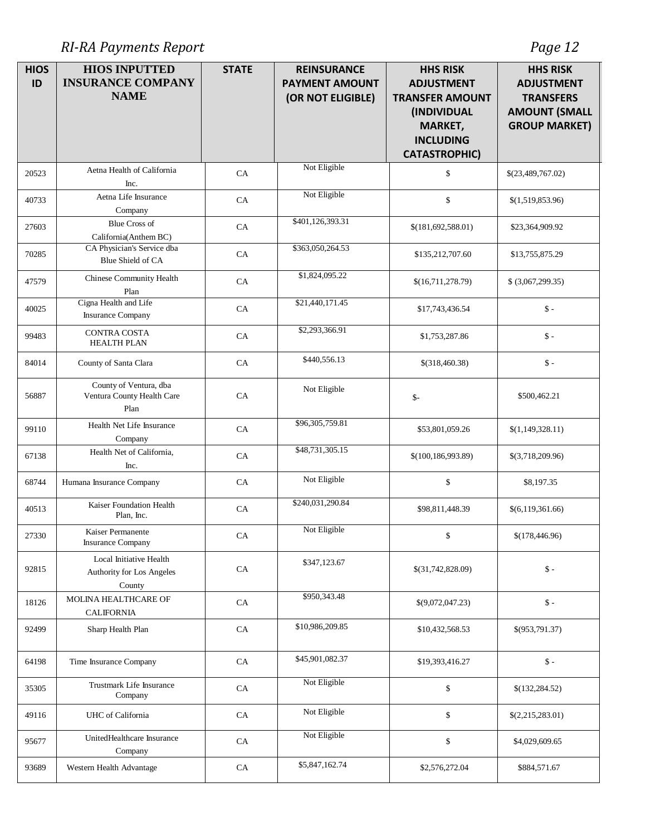*RI-RA Payments Report Page 12*

| <b>HIOS</b><br>ID | <b>HIOS INPUTTED</b><br><b>INSURANCE COMPANY</b><br><b>NAME</b> | <b>STATE</b> | <b>REINSURANCE</b><br><b>PAYMENT AMOUNT</b><br>(OR NOT ELIGIBLE) | <b>HHS RISK</b><br><b>ADJUSTMENT</b><br><b>TRANSFER AMOUNT</b><br><i>(INDIVIDUAL</i><br><b>MARKET,</b><br><b>INCLUDING</b><br><b>CATASTROPHIC)</b> | <b>HHS RISK</b><br><b>ADJUSTMENT</b><br><b>TRANSFERS</b><br><b>AMOUNT (SMALL</b><br><b>GROUP MARKET)</b> |
|-------------------|-----------------------------------------------------------------|--------------|------------------------------------------------------------------|----------------------------------------------------------------------------------------------------------------------------------------------------|----------------------------------------------------------------------------------------------------------|
| 20523             | Aetna Health of California<br>Inc.                              | CA           | Not Eligible                                                     | \$                                                                                                                                                 | \$(23,489,767.02)                                                                                        |
| 40733             | Aetna Life Insurance<br>Company                                 | CA           | Not Eligible                                                     | $\$$                                                                                                                                               | \$(1,519,853.96)                                                                                         |
| 27603             | <b>Blue Cross of</b><br>California(Anthem BC)                   | CA           | \$401,126,393.31                                                 | \$(181,692,588.01)                                                                                                                                 | \$23,364,909.92                                                                                          |
| 70285             | CA Physician's Service dba<br><b>Blue Shield of CA</b>          | CA           | \$363,050,264.53                                                 | \$135,212,707.60                                                                                                                                   | \$13,755,875.29                                                                                          |
| 47579             | Chinese Community Health<br>Plan                                | CA           | \$1,824,095.22                                                   | \$(16,711,278.79)                                                                                                                                  | \$ (3,067,299.35)                                                                                        |
| 40025             | Cigna Health and Life<br><b>Insurance Company</b>               | CA           | \$21,440,171.45                                                  | \$17,743,436.54                                                                                                                                    | $\uparrow$ -                                                                                             |
| 99483             | <b>CONTRA COSTA</b><br><b>HEALTH PLAN</b>                       | CA           | \$2,293,366.91                                                   | \$1,753,287.86                                                                                                                                     | $\uparrow$ -                                                                                             |
| 84014             | County of Santa Clara                                           | ${\rm CA}$   | \$440,556.13                                                     | \$(318,460.38)                                                                                                                                     | $\mathsf{\$}$ -                                                                                          |
| 56887             | County of Ventura, dba<br>Ventura County Health Care<br>Plan    | CA           | Not Eligible                                                     | $\mathsf{S}$ -                                                                                                                                     | \$500,462.21                                                                                             |
| 99110             | Health Net Life Insurance<br>Company                            | CA           | \$96,305,759.81                                                  | \$53,801,059.26                                                                                                                                    | \$(1,149,328.11)                                                                                         |
| 67138             | Health Net of California,<br>Inc.                               | CA           | \$48,731,305.15                                                  | \$(100, 186, 993.89)                                                                                                                               | \$(3,718,209.96)                                                                                         |
| 68744             | Humana Insurance Company                                        | CA           | Not Eligible                                                     | $\$$                                                                                                                                               | \$8,197.35                                                                                               |
| 40513             | Kaiser Foundation Health<br>Plan, Inc.                          | ${\rm CA}$   | \$240,031,290.84                                                 | \$98,811,448.39                                                                                                                                    | \$(6,119,361.66)                                                                                         |
| 27330             | Kaiser Permanente<br><b>Insurance Company</b>                   | CA           | Not Eligible                                                     | \$                                                                                                                                                 | \$(178,446.96)                                                                                           |
| 92815             | Local Initiative Health<br>Authority for Los Angeles<br>County  | CA           | \$347,123.67                                                     | \$(31,742,828.09)                                                                                                                                  | $\mathsf{\$}$ -                                                                                          |
| 18126             | MOLINA HEALTHCARE OF<br><b>CALIFORNIA</b>                       | CA           | \$950,343.48                                                     | \$(9,072,047.23)                                                                                                                                   | $\mathsf{\$}$ -                                                                                          |
| 92499             | Sharp Health Plan                                               | ${\rm CA}$   | \$10,986,209.85                                                  | \$10,432,568.53                                                                                                                                    | \$(953,791.37)                                                                                           |
| 64198             | Time Insurance Company                                          | CA           | \$45,901,082.37                                                  | \$19,393,416.27                                                                                                                                    | $\mathsf{\$}$ -                                                                                          |
| 35305             | Trustmark Life Insurance<br>Company                             | CA           | Not Eligible                                                     | $\$$                                                                                                                                               | \$(132, 284.52)                                                                                          |
| 49116             | UHC of California                                               | ${\rm CA}$   | Not Eligible                                                     | $\$$                                                                                                                                               | \$(2,215,283.01)                                                                                         |
| 95677             | UnitedHealthcare Insurance<br>Company                           | CA           | Not Eligible                                                     | $\$$                                                                                                                                               | \$4,029,609.65                                                                                           |
| 93689             | Western Health Advantage                                        | CA           | \$5,847,162.74                                                   | \$2,576,272.04                                                                                                                                     | \$884,571.67                                                                                             |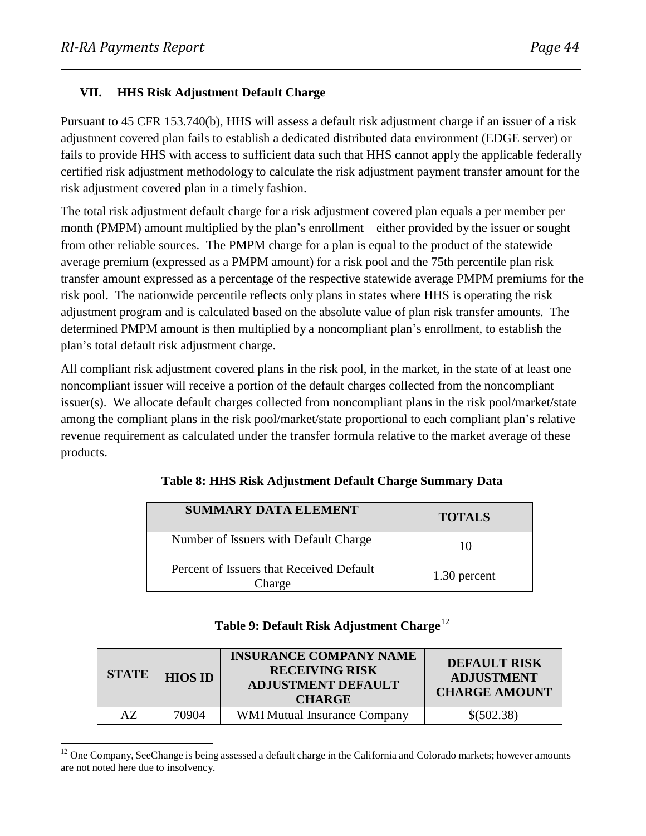#### **VII. HHS Risk Adjustment Default Charge**

Pursuant to 45 CFR 153.740(b), HHS will assess a default risk adjustment charge if an issuer of a risk adjustment covered plan fails to establish a dedicated distributed data environment (EDGE server) or fails to provide HHS with access to sufficient data such that HHS cannot apply the applicable federally certified risk adjustment methodology to calculate the risk adjustment payment transfer amount for the risk adjustment covered plan in a timely fashion.

The total risk adjustment default charge for a risk adjustment covered plan equals a per member per month (PMPM) amount multiplied by the plan's enrollment – either provided by the issuer or sought from other reliable sources. The PMPM charge for a plan is equal to the product of the statewide average premium (expressed as a PMPM amount) for a risk pool and the 75th percentile plan risk transfer amount expressed as a percentage of the respective statewide average PMPM premiums for the risk pool. The nationwide percentile reflects only plans in states where HHS is operating the risk adjustment program and is calculated based on the absolute value of plan risk transfer amounts. The determined PMPM amount is then multiplied by a noncompliant plan's enrollment, to establish the plan's total default risk adjustment charge.

All compliant risk adjustment covered plans in the risk pool, in the market, in the state of at least one noncompliant issuer will receive a portion of the default charges collected from the noncompliant issuer(s). We allocate default charges collected from noncompliant plans in the risk pool/market/state among the compliant plans in the risk pool/market/state proportional to each compliant plan's relative revenue requirement as calculated under the transfer formula relative to the market average of these products.

| <b>SUMMARY DATA ELEMENT</b>                        | <b>TOTALS</b> |
|----------------------------------------------------|---------------|
| Number of Issuers with Default Charge              | 10            |
| Percent of Issuers that Received Default<br>Charge | 1.30 percent  |

**Table 8: HHS Risk Adjustment Default Charge Summary Data**

## **Table 9: Default Risk Adjustment Charge** 12

| <b>STATE</b> | <b>HIOS ID</b> | <b>INSURANCE COMPANY NAME</b><br><b>RECEIVING RISK</b><br><b>ADJUSTMENT DEFAULT</b><br><b>CHARGE</b> | <b>DEFAULT RISK</b><br><b>ADJUSTMENT</b><br><b>CHARGE AMOUNT</b> |
|--------------|----------------|------------------------------------------------------------------------------------------------------|------------------------------------------------------------------|
| AZ           | 70904          | <b>WMI Mutual Insurance Company</b>                                                                  | \$(502.38)                                                       |

<sup>&</sup>lt;sup>12</sup> One Company, SeeChange is being assessed a default charge in the California and Colorado markets; however amounts are not noted here due to insolvency.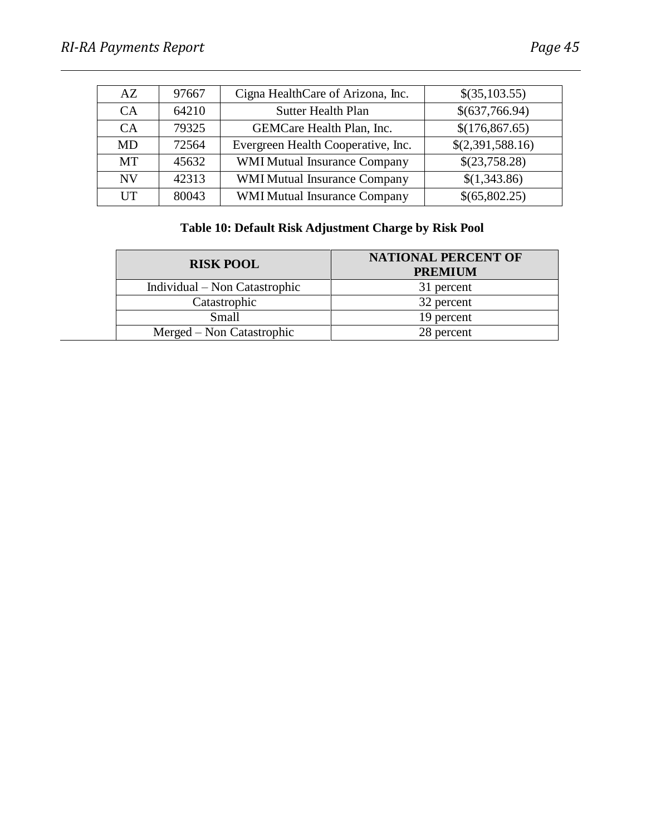| AZ.            | 97667 | Cigna HealthCare of Arizona, Inc.<br>\$(35,103.55) |                  |
|----------------|-------|----------------------------------------------------|------------------|
| CA <sup></sup> | 64210 | \$(637,766.94)<br><b>Sutter Health Plan</b>        |                  |
| <b>CA</b>      | 79325 | GEMCare Health Plan, Inc.                          | \$(176, 867.65)  |
| <b>MD</b>      | 72564 | Evergreen Health Cooperative, Inc.                 | \$(2,391,588.16) |
| MT             | 45632 | <b>WMI Mutual Insurance Company</b>                | \$(23,758.28)    |
| <b>NV</b>      | 42313 | <b>WMI Mutual Insurance Company</b>                | \$(1,343.86)     |
| <b>ITT</b>     | 80043 | <b>WMI Mutual Insurance Company</b>                | \$(65,802.25)    |

# **Table 10: Default Risk Adjustment Charge by Risk Pool**

| <b>RISK POOL</b>              | <b>NATIONAL PERCENT OF</b><br><b>PREMIUM</b> |
|-------------------------------|----------------------------------------------|
| Individual – Non Catastrophic | 31 percent                                   |
| Catastrophic                  | 32 percent                                   |
| Small                         | 19 percent                                   |
| Merged – Non Catastrophic     | 28 percent                                   |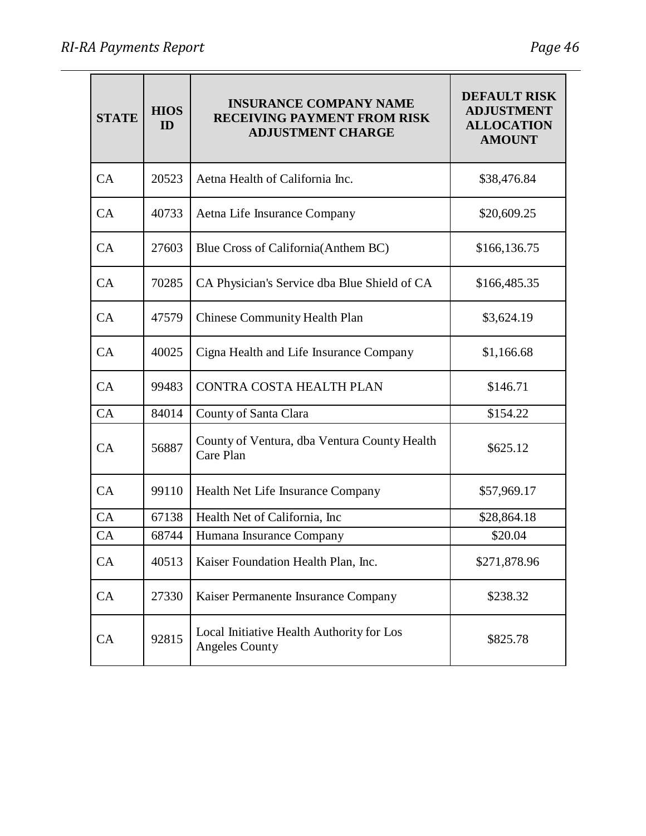| <b>STATE</b> | <b>HIOS</b><br>ID | <b>INSURANCE COMPANY NAME</b><br><b>RECEIVING PAYMENT FROM RISK</b><br><b>ADJUSTMENT CHARGE</b> | <b>DEFAULT RISK</b><br><b>ADJUSTMENT</b><br><b>ALLOCATION</b><br><b>AMOUNT</b> |  |
|--------------|-------------------|-------------------------------------------------------------------------------------------------|--------------------------------------------------------------------------------|--|
| CA           | 20523             | Aetna Health of California Inc.                                                                 | \$38,476.84                                                                    |  |
| CA           | 40733             | Aetna Life Insurance Company                                                                    | \$20,609.25                                                                    |  |
| CA           | 27603             | Blue Cross of California (Anthem BC)                                                            | \$166,136.75                                                                   |  |
| CA           | 70285             | CA Physician's Service dba Blue Shield of CA                                                    | \$166,485.35                                                                   |  |
| CA           | 47579             | <b>Chinese Community Health Plan</b>                                                            | \$3,624.19                                                                     |  |
| CA           | 40025             | Cigna Health and Life Insurance Company                                                         | \$1,166.68                                                                     |  |
| CA           | 99483             | CONTRA COSTA HEALTH PLAN                                                                        | \$146.71                                                                       |  |
| CA           | 84014             | County of Santa Clara                                                                           | \$154.22                                                                       |  |
| CA           | 56887             | County of Ventura, dba Ventura County Health<br>Care Plan                                       | \$625.12                                                                       |  |
| CA           | 99110             | Health Net Life Insurance Company                                                               | \$57,969.17                                                                    |  |
| CA           | 67138             | Health Net of California, Inc.                                                                  | \$28,864.18                                                                    |  |
| CA           | 68744             | Humana Insurance Company                                                                        | \$20.04                                                                        |  |
| CA           | 40513             | Kaiser Foundation Health Plan, Inc.                                                             | \$271,878.96                                                                   |  |
| CA           | 27330             | Kaiser Permanente Insurance Company                                                             | \$238.32                                                                       |  |
| CA           | 92815             | Local Initiative Health Authority for Los<br><b>Angeles County</b>                              | \$825.78                                                                       |  |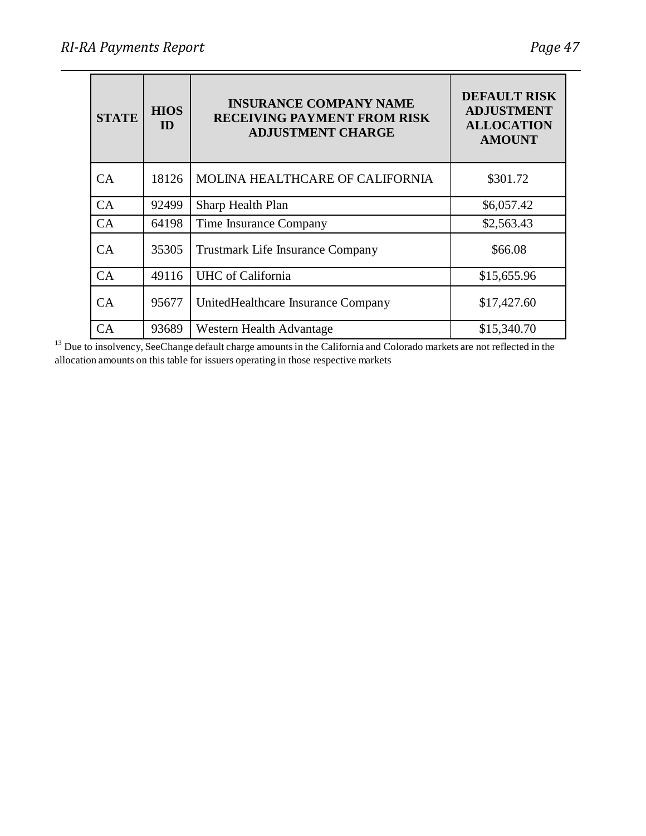| <b>STATE</b> | <b>HIOS</b><br>ID | <b>INSURANCE COMPANY NAME</b><br><b>RECEIVING PAYMENT FROM RISK</b><br><b>ADJUSTMENT CHARGE</b> | <b>DEFAULT RISK</b><br><b>ADJUSTMENT</b><br><b>ALLOCATION</b><br><b>AMOUNT</b> |  |
|--------------|-------------------|-------------------------------------------------------------------------------------------------|--------------------------------------------------------------------------------|--|
| CA           | 18126             | MOLINA HEALTHCARE OF CALIFORNIA                                                                 | \$301.72                                                                       |  |
| CA           | 92499             | Sharp Health Plan                                                                               | \$6,057.42                                                                     |  |
| CA           | 64198             | Time Insurance Company                                                                          | \$2,563.43                                                                     |  |
| CA           | 35305             | <b>Trustmark Life Insurance Company</b>                                                         | \$66.08                                                                        |  |
| CA           | 49116             | <b>UHC</b> of California                                                                        | \$15,655.96                                                                    |  |
| CA           | 95677             | UnitedHealthcare Insurance Company                                                              | \$17,427.60                                                                    |  |
| CA           | 93689             | Western Health Advantage                                                                        | \$15,340.70                                                                    |  |

 $13$  Due to insolvency, SeeChange default charge amounts in the California and Colorado markets are not reflected in the allocation amounts on this table for issuers operating in those respective markets